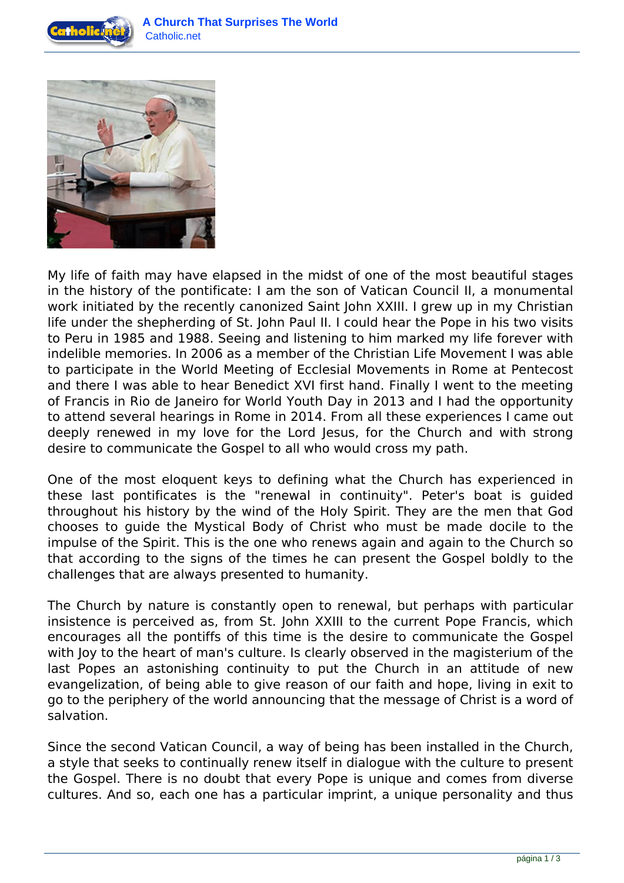



My life of faith may have elapsed in the midst of one of the most beautiful stages in the history of the pontificate: I am the son of Vatican Council II, a monumental work initiated by the recently canonized Saint John XXIII. I grew up in my Christian life under the shepherding of St. John Paul II. I could hear the Pope in his two visits to Peru in 1985 and 1988. Seeing and listening to him marked my life forever with indelible memories. In 2006 as a member of the Christian Life Movement I was able to participate in the World Meeting of Ecclesial Movements in Rome at Pentecost and there I was able to hear Benedict XVI first hand. Finally I went to the meeting of Francis in Rio de Janeiro for World Youth Day in 2013 and I had the opportunity to attend several hearings in Rome in 2014. From all these experiences I came out deeply renewed in my love for the Lord Jesus, for the Church and with strong desire to communicate the Gospel to all who would cross my path.

One of the most eloquent keys to defining what the Church has experienced in these last pontificates is the "renewal in continuity". Peter's boat is guided throughout his history by the wind of the Holy Spirit. They are the men that God chooses to guide the Mystical Body of Christ who must be made docile to the impulse of the Spirit. This is the one who renews again and again to the Church so that according to the signs of the times he can present the Gospel boldly to the challenges that are always presented to humanity.

The Church by nature is constantly open to renewal, but perhaps with particular insistence is perceived as, from St. John XXIII to the current Pope Francis, which encourages all the pontiffs of this time is the desire to communicate the Gospel with Joy to the heart of man's culture. Is clearly observed in the magisterium of the last Popes an astonishing continuity to put the Church in an attitude of new evangelization, of being able to give reason of our faith and hope, living in exit to go to the periphery of the world announcing that the message of Christ is a word of salvation.

Since the second Vatican Council, a way of being has been installed in the Church, a style that seeks to continually renew itself in dialogue with the culture to present the Gospel. There is no doubt that every Pope is unique and comes from diverse cultures. And so, each one has a particular imprint, a unique personality and thus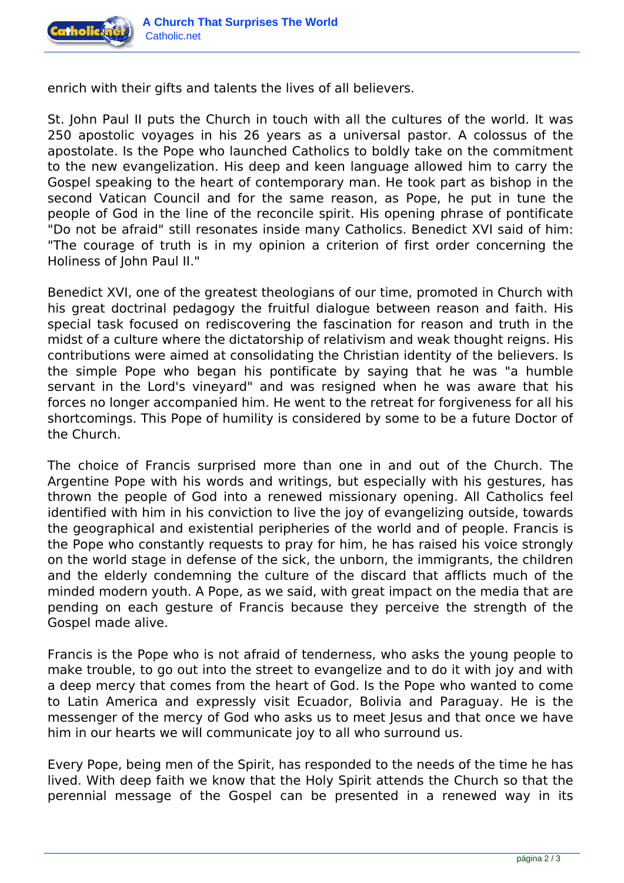

enrich with their gifts and talents the lives of all believers.

St. John Paul II puts the Church in touch with all the cultures of the world. It was 250 apostolic voyages in his 26 years as a universal pastor. A colossus of the apostolate. Is the Pope who launched Catholics to boldly take on the commitment to the new evangelization. His deep and keen language allowed him to carry the Gospel speaking to the heart of contemporary man. He took part as bishop in the second Vatican Council and for the same reason, as Pope, he put in tune the people of God in the line of the reconcile spirit. His opening phrase of pontificate "Do not be afraid" still resonates inside many Catholics. Benedict XVI said of him: "The courage of truth is in my opinion a criterion of first order concerning the Holiness of John Paul II."

Benedict XVI, one of the greatest theologians of our time, promoted in Church with his great doctrinal pedagogy the fruitful dialogue between reason and faith. His special task focused on rediscovering the fascination for reason and truth in the midst of a culture where the dictatorship of relativism and weak thought reigns. His contributions were aimed at consolidating the Christian identity of the believers. Is the simple Pope who began his pontificate by saying that he was "a humble servant in the Lord's vineyard" and was resigned when he was aware that his forces no longer accompanied him. He went to the retreat for forgiveness for all his shortcomings. This Pope of humility is considered by some to be a future Doctor of the Church.

The choice of Francis surprised more than one in and out of the Church. The Argentine Pope with his words and writings, but especially with his gestures, has thrown the people of God into a renewed missionary opening. All Catholics feel identified with him in his conviction to live the joy of evangelizing outside, towards the geographical and existential peripheries of the world and of people. Francis is the Pope who constantly requests to pray for him, he has raised his voice strongly on the world stage in defense of the sick, the unborn, the immigrants, the children and the elderly condemning the culture of the discard that afflicts much of the minded modern youth. A Pope, as we said, with great impact on the media that are pending on each gesture of Francis because they perceive the strength of the Gospel made alive.

Francis is the Pope who is not afraid of tenderness, who asks the young people to make trouble, to go out into the street to evangelize and to do it with joy and with a deep mercy that comes from the heart of God. Is the Pope who wanted to come to Latin America and expressly visit Ecuador, Bolivia and Paraguay. He is the messenger of the mercy of God who asks us to meet Jesus and that once we have him in our hearts we will communicate joy to all who surround us.

Every Pope, being men of the Spirit, has responded to the needs of the time he has lived. With deep faith we know that the Holy Spirit attends the Church so that the perennial message of the Gospel can be presented in a renewed way in its